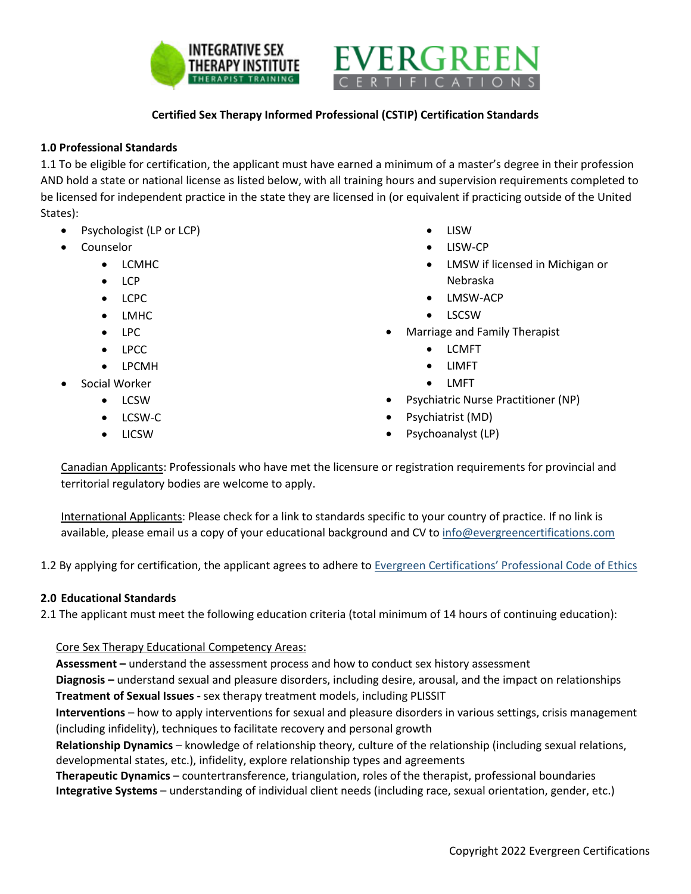



# **Certified Sex Therapy Informed Professional (CSTIP) Certification Standards**

### **1.0 Professional Standards**

1.1 To be eligible for certification, the applicant must have earned a minimum of a master's degree in their profession AND hold a state or national license as listed below, with all training hours and supervision requirements completed to be licensed for independent practice in the state they are licensed in (or equivalent if practicing outside of the United States):

- Psychologist (LP or LCP)
- **Counselor** 
	- LCMHC
	- LCP
	- LCPC
	- LMHC
	- LPC
	- LPCC
	- LPCMH
- Social Worker
	- LCSW
	- LCSW-C
	- LICSW
- LISW
- LISW-CP
- LMSW if licensed in Michigan or Nebraska
- LMSW-ACP
- LSCSW
- Marriage and Family Therapist
	- LCMFT
	- LIMFT
	- LMFT
- Psychiatric Nurse Practitioner (NP)
- Psychiatrist (MD)
- Psychoanalyst (LP)

Canadian Applicants: Professionals who have met the licensure or registration requirements for provincial and territorial regulatory bodies are welcome to apply.

International Applicants: Please check for a link to standards specific to your country of practice. If no link is available, please email us a copy of your educational background and CV to [info@evergreencertifications.com](mailto:info@evergreencertifications.com)

1.2 By applying for certification, the applicant agrees to adhere to [Evergreen Certifications' Professional Code of Ethics](http://www.evergreencertifications.com/codeofethics)

#### **2.0 Educational Standards**

2.1 The applicant must meet the following education criteria (total minimum of 14 hours of continuing education):

#### Core Sex Therapy Educational Competency Areas:

**Assessment –** understand the assessment process and how to conduct sex history assessment

**Diagnosis –** understand sexual and pleasure disorders, including desire, arousal, and the impact on relationships **Treatment of Sexual Issues -** sex therapy treatment models, including PLISSIT

**Interventions** – how to apply interventions for sexual and pleasure disorders in various settings, crisis management (including infidelity), techniques to facilitate recovery and personal growth

**Relationship Dynamics** – knowledge of relationship theory, culture of the relationship (including sexual relations, developmental states, etc.), infidelity, explore relationship types and agreements

**Therapeutic Dynamics** – countertransference, triangulation, roles of the therapist, professional boundaries **Integrative Systems** – understanding of individual client needs (including race, sexual orientation, gender, etc.)